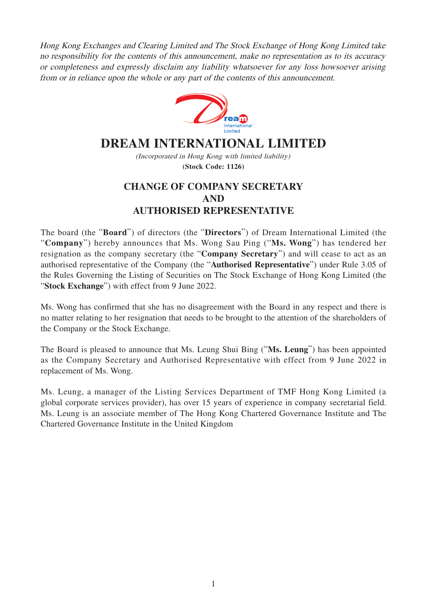Hong Kong Exchanges and Clearing Limited and The Stock Exchange of Hong Kong Limited take no responsibility for the contents of this announcement, make no representation as to its accuracy or completeness and expressly disclaim any liability whatsoever for any loss howsoever arising from or in reliance upon the whole or any part of the contents of this announcement.



## **DREAM INTERNATIONAL LIMITED**

(Incorporated in Hong Kong with limited liability) **(Stock Code: 1126)**

## **CHANGE OF COMPANY SECRETARY AND AUTHORISED REPRESENTATIVE**

The board (the "**Board**") of directors (the "**Directors**") of Dream International Limited (the "**Company**") hereby announces that Ms. Wong Sau Ping ("**Ms. Wong**") has tendered her resignation as the company secretary (the "**Company Secretary**") and will cease to act as an authorised representative of the Company (the "**Authorised Representative**") under Rule 3.05 of the Rules Governing the Listing of Securities on The Stock Exchange of Hong Kong Limited (the "**Stock Exchange**") with effect from 9 June 2022.

Ms. Wong has confirmed that she has no disagreement with the Board in any respect and there is no matter relating to her resignation that needs to be brought to the attention of the shareholders of the Company or the Stock Exchange.

The Board is pleased to announce that Ms. Leung Shui Bing ("**Ms. Leung**") has been appointed as the Company Secretary and Authorised Representative with effect from 9 June 2022 in replacement of Ms. Wong.

Ms. Leung, a manager of the Listing Services Department of TMF Hong Kong Limited (a global corporate services provider), has over 15 years of experience in company secretarial field. Ms. Leung is an associate member of The Hong Kong Chartered Governance Institute and The Chartered Governance Institute in the United Kingdom